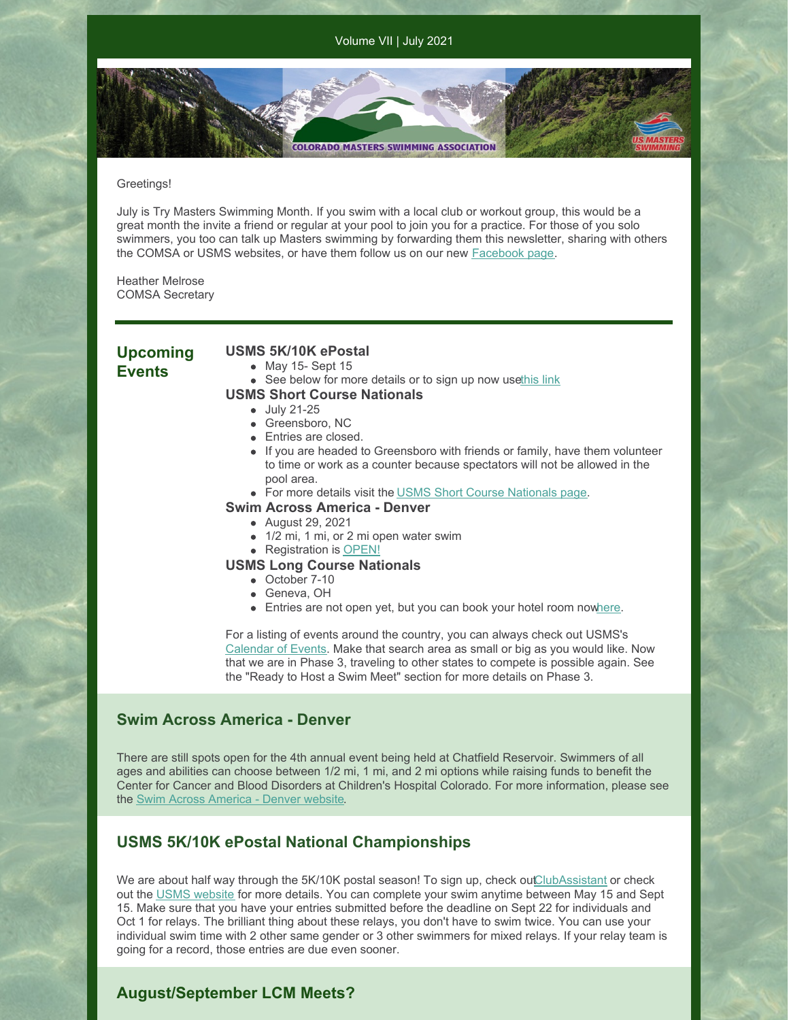Volume VII | July 2021

### Greetings!

July is Try Masters Swimming Month. If you swim with a local club or workout group, this would be a great month the invite a friend or regular at your pool to join you for a practice. For those of you solo swimmers, you too can talk up Masters swimming by forwarding them this newsletter, sharing with others the COMSA or USMS websites, or have them follow us on our new **[Facebook](https://www.facebook.com/ComsaSwimmers/) page**.

**COLORADO MASTERS SWIMMING ASSOCIATION** 

Heather Melrose COMSA Secretary

**Upcoming Events**

## **USMS 5K/10K ePostal**

- $\bullet$  May 15- Sept 15
- See below for more details or to sign up now us[ethis](https://www.clubassistant.com/club/meet_information.cfm?c=1246&smid=13719&_ga=2.10815287.246617231.1622829059-2023156466.1622829059) link

### **USMS Short Course Nationals**

- July 21-25
- Greensboro, NC
- Entries are closed.
- If you are headed to Greensboro with friends or family, have them volunteer to time or work as a counter because spectators will not be allowed in the pool area.
- For more details visit the USMS Short Course [Nationals](https://www.usms.org/events/national-championships/pool-national-championships/2021-pool-national-championships/2021-short-course-national-championship) page.

### **Swim Across America - Denver**

- August 29, 2021
- 1/2 mi, 1 mi, or 2 mi open water swim
- Registration is [OPEN!](https://www.swimacrossamerica.org/site/TR/OpenWater/Denver?pg=entry&fr_id=5761)

### **USMS Long Course Nationals**

- October 7-10
- Geneva, OH
- **Entries are not open yet, but you can book your hotel room no[where](https://book.passkey.com/event/50203226/owner/6893/home).**

For a listing of events around the country, you can always check out USMS's [Calendar](https://www.usms.org/events) of Events. Make that search area as small or big as you would like. Now that we are in Phase 3, traveling to other states to compete is possible again. See the "Ready to Host a Swim Meet" section for more details on Phase 3.

# **Swim Across America - Denver**

There are still spots open for the 4th annual event being held at Chatfield Reservoir. Swimmers of all ages and abilities can choose between 1/2 mi, 1 mi, and 2 mi options while raising funds to benefit the Center for Cancer and Blood Disorders at Children's Hospital Colorado. For more information, please see the Swim Across [America](https://www.swimacrossamerica.org/site/TR/OpenWater/Denver?pg=entry&fr_id=5761) - Denver website.

# **USMS 5K/10K ePostal National Championships**

We are about half way through the 5K/10K postal season! To sign up, check ou[tClubAssistant](https://www.clubassistant.com/club/meet_information.cfm?c=1246&smid=13719&_ga=2.9306934.246617231.1622829059-2023156466.1622829059) or check out the USMS [website](https://www.usms.org/events/national-championships/epostal-national-championships) for more details. You can complete your swim anytime between May 15 and Sept 15. Make sure that you have your entries submitted before the deadline on Sept 22 for individuals and Oct 1 for relays. The brilliant thing about these relays, you don't have to swim twice. You can use your individual swim time with 2 other same gender or 3 other swimmers for mixed relays. If your relay team is going for a record, those entries are due even sooner.

## **August/September LCM Meets?**